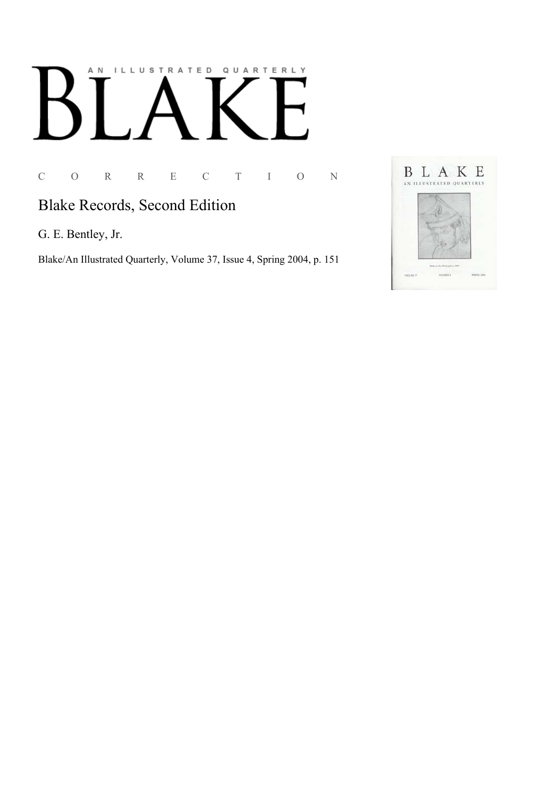# AN ILLUSTRATED QUARTERLY

C O R R E C T I O N

# **Blake Records, Second Edition**

G. E. Bentley, Jr.

Blake/An Illustrated Quarterly, Volume 37, Issue 4, Spring 2004, p. 151